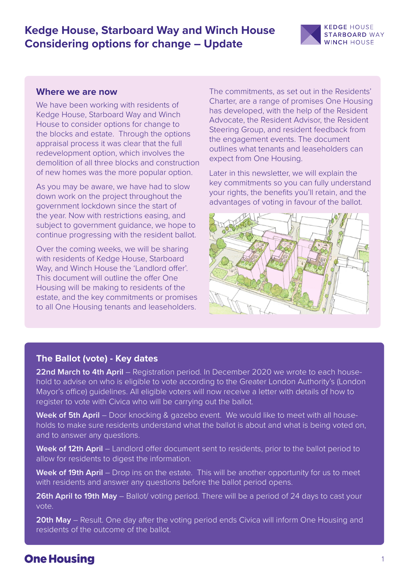# **Kedge House, Starboard Way and Winch House Considering options for change – Update**



### **Where we are now**

We have been working with residents of Kedge House, Starboard Way and Winch House to consider options for change to the blocks and estate. Through the options appraisal process it was clear that the full redevelopment option, which involves the demolition of all three blocks and construction of new homes was the more popular option.

As you may be aware, we have had to slow down work on the project throughout the government lockdown since the start of the year. Now with restrictions easing, and subject to government guidance, we hope to continue progressing with the resident ballot.

Over the coming weeks, we will be sharing with residents of Kedge House, Starboard Way, and Winch House the 'Landlord offer'. This document will outline the offer One Housing will be making to residents of the estate, and the key commitments or promises to all One Housing tenants and leaseholders.

The commitments, as set out in the Residents' Charter, are a range of promises One Housing has developed, with the help of the Resident Advocate, the Resident Advisor, the Resident Steering Group, and resident feedback from the engagement events. The document outlines what tenants and leaseholders can expect from One Housing.

Later in this newsletter, we will explain the key commitments so you can fully understand your rights, the benefits you'll retain, and the advantages of voting in favour of the ballot.



### **The Ballot (vote) - Key dates**

**22nd March to 4th April** – Registration period. In December 2020 we wrote to each household to advise on who is eligible to vote according to the Greater London Authority's (London Mayor's office) guidelines. All eligible voters will now receive a letter with details of how to register to vote with Civica who will be carrying out the ballot.

**Week of 5th April** – Door knocking & gazebo event. We would like to meet with all households to make sure residents understand what the ballot is about and what is being voted on, and to answer any questions.

**Week of 12th April** – Landlord offer document sent to residents, prior to the ballot period to allow for residents to digest the information.

**Week of 19th April** – Drop ins on the estate. This will be another opportunity for us to meet with residents and answer any questions before the ballot period opens.

**26th April to 19th May** – Ballot/ voting period. There will be a period of 24 days to cast your vote.

**20th May** – Result. One day after the voting period ends Civica will inform One Housing and residents of the outcome of the ballot.

# **One Housing**